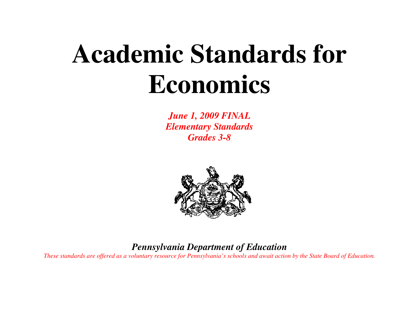# **Academic Standards for Economics**

*June 1, 2009 FINAL Elementary Standards Grades 3-8* 



## *Pennsylvania Department of Education*

*These standards are offered as a voluntary resource for Pennsylvania's schools and await action by the State Board of Education.*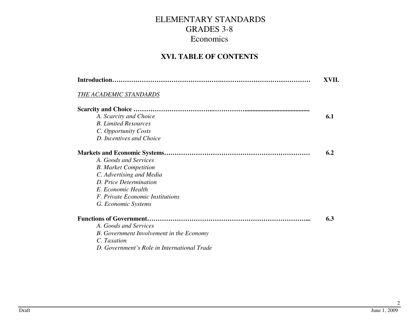#### **XVI. TABLE OF CONTENTS**

|                                                 | XVII. |
|-------------------------------------------------|-------|
| THE ACADEMIC STANDARDS                          |       |
|                                                 |       |
| A. Scarcity and Choice                          | 6.1   |
| <b>B.</b> Limited Resources                     |       |
| C. Opportunity Costs                            |       |
| D. Incentives and Choice                        |       |
|                                                 | 6.2   |
| A. Goods and Services                           |       |
| <b>B.</b> Market Competition                    |       |
| C. Advertising and Media                        |       |
| D. Price Determination                          |       |
| E. Economic Health                              |       |
| <i>F. Private Economic Institutions</i>         |       |
| G. Economic Systems                             |       |
|                                                 | 6.3   |
| A. Goods and Services                           |       |
| <b>B.</b> Government Involvement in the Economy |       |
| C. Taxation                                     |       |
| D. Government's Role in International Trade     |       |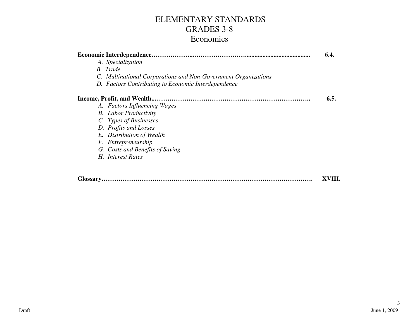|                                                                | 6.4. |
|----------------------------------------------------------------|------|
| A. Specialization                                              |      |
| B. Trade                                                       |      |
| C. Multinational Corporations and Non-Government Organizations |      |
| D. Factors Contributing to Economic Interdependence            |      |
|                                                                | 6.5. |
| A. Factors Influencing Wages                                   |      |
| <b>B.</b> Labor Productivity                                   |      |
| C. Types of Businesses                                         |      |
| D. Profits and Losses                                          |      |
| E. Distribution of Wealth                                      |      |
| F. Entrepreneurship                                            |      |
| G. Costs and Benefits of Saving                                |      |
| H. Interest Rates                                              |      |
|                                                                |      |
|                                                                |      |

**Glossary……………………………………………………………………………………….XVIII.**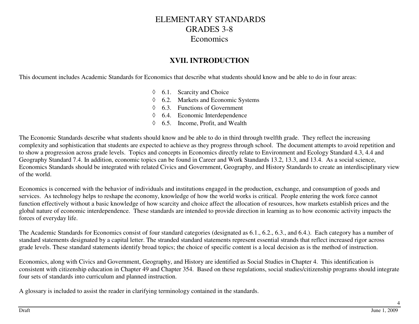#### **XVII. INTRODUCTION**

This document includes Academic Standards for Economics that describe what students should know and be able to do in four areas:

- ◊ 6.1. Scarcity and Choice ◊ 6.2. Markets and Economic Systems ◊ 6.3. Functions of Government ◊ 6.4. Economic Interdependence
- ◊ 6.5. Income, Profit, and Wealth

The Economic Standards describe what students should know and be able to do in third through twelfth grade. They reflect the increasing complexity and sophistication that students are expected to achieve as they progress through school. The document attempts to avoid repetition and to show a progression across grade levels. Topics and concepts in Economics directly relate to Environment and Ecology Standard 4.3, 4.4 and Geography Standard 7.4. In addition, economic topics can be found in Career and Work Standards 13.2, 13.3, and 13.4. As a social science, Economics Standards should be integrated with related Civics and Government, Geography, and History Standards to create an interdisciplinary view of the world.

Economics is concerned with the behavior of individuals and institutions engaged in the production, exchange, and consumption of goods and services. As technology helps to reshape the economy, knowledge of how the world works is critical. People entering the work force cannot function effectively without a basic knowledge of how scarcity and choice affect the allocation of resources, how markets establish prices and the global nature of economic interdependence. These standards are intended to provide direction in learning as to how economic activity impacts the forces of everyday life.

The Academic Standards for Economics consist of four standard categories (designated as 6.1., 6.2., 6.3., and 6.4.). Each category has a number of standard statements designated by a capital letter. The stranded standard statements represent essential strands that reflect increased rigor across grade levels. These standard statements identify broad topics; the choice of specific content is a local decision as is the method of instruction.

Economics, along with Civics and Government, Geography, and History are identified as Social Studies in Chapter 4. This identification is consistent with citizenship education in Chapter 49 and Chapter 354. Based on these regulations, social studies/citizenship programs should integrate four sets of standards into curriculum and planned instruction.

A glossary is included to assist the reader in clarifying terminology contained in the standards.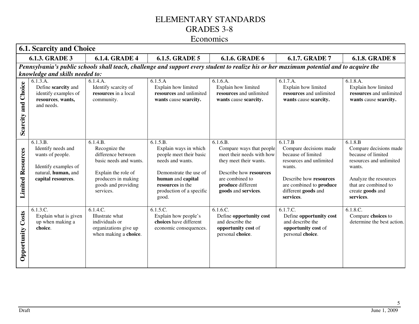|                          | <b>6.1. Scarcity and Choice</b>                                                                                                                    |                                                                                                                                                             |                                                                                                                                                                                          |                                                                                                                                                                                      |                                                                                                                                                                                       |                                                                                                                                                                                |  |  |  |
|--------------------------|----------------------------------------------------------------------------------------------------------------------------------------------------|-------------------------------------------------------------------------------------------------------------------------------------------------------------|------------------------------------------------------------------------------------------------------------------------------------------------------------------------------------------|--------------------------------------------------------------------------------------------------------------------------------------------------------------------------------------|---------------------------------------------------------------------------------------------------------------------------------------------------------------------------------------|--------------------------------------------------------------------------------------------------------------------------------------------------------------------------------|--|--|--|
|                          | <b>6.1.3. GRADE 3</b><br><b>6.1.4. GRADE 4</b><br><b>6.1.5. GRADE 5</b><br><b>6.1.6. GRADE 6</b><br><b>6.1.7. GRADE 7</b><br><b>6.1.8. GRADE 8</b> |                                                                                                                                                             |                                                                                                                                                                                          |                                                                                                                                                                                      |                                                                                                                                                                                       |                                                                                                                                                                                |  |  |  |
|                          | knowledge and skills needed to:                                                                                                                    |                                                                                                                                                             |                                                                                                                                                                                          | Pennsylvania's public schools shall teach, challenge and support every student to realize his or her maximum potential and to acquire the                                            |                                                                                                                                                                                       |                                                                                                                                                                                |  |  |  |
| Scarcity and Choice      | 6.1.3.A.<br>Define scarcity and<br>identify examples of<br>resources, wants,<br>and needs.                                                         | 6.1.4.A.<br>Identify scarcity of<br>resources in a local<br>community.                                                                                      | 6.1.5.A<br>Explain how limited<br>resources and unlimited<br>wants cause scarcity.                                                                                                       | 6.1.6.A.<br>Explain how limited<br>resources and unlimited<br>wants cause scarcity.                                                                                                  | 6.1.7.A.<br>Explain how limited<br>resources and unlimited<br>wants cause scarcity.                                                                                                   | 6.1.8.A.<br>Explain how limited<br>resources and unlimited<br>wants cause scarcity.                                                                                            |  |  |  |
| <b>Limited Resources</b> | 6.1.3.B.<br>Identify needs and<br>wants of people.<br>Identify examples of<br>natural, human, and<br>capital resources.                            | 6.1.4.B.<br>Recognize the<br>difference between<br>basic needs and wants.<br>Explain the role of<br>producers in making<br>goods and providing<br>services. | 6.1.5.B.<br>Explain ways in which<br>people meet their basic<br>needs and wants.<br>Demonstrate the use of<br>human and capital<br>resources in the<br>production of a specific<br>good. | 6.1.6.B.<br>Compare ways that people<br>meet their needs with how<br>they meet their wants.<br>Describe how resources<br>are combined to<br>produce different<br>goods and services. | 6.1.7.B<br>Compare decisions made<br>because of limited<br>resources and unlimited<br>wants.<br>Describe how resources<br>are combined to produce<br>different goods and<br>services. | 6.1.8.B<br>Compare decisions made<br>because of limited<br>resources and unlimited<br>wants.<br>Analyze the resources<br>that are combined to<br>create goods and<br>services. |  |  |  |
| Costs<br>Opportunity     | 6.1.3.C.<br>Explain what is given<br>up when making a<br>choice.                                                                                   | 6.1.4.C.<br>Illustrate what<br>individuals or<br>organizations give up<br>when making a choice.                                                             | 6.1.5.C.<br>Explain how people's<br>choices have different<br>economic consequences.                                                                                                     | 6.1.6.C.<br>Define opportunity cost<br>and describe the<br>opportunity cost of<br>personal choice.                                                                                   | 6.1.7.C.<br>Define opportunity cost<br>and describe the<br>opportunity cost of<br>personal choice.                                                                                    | $6.1.8.\overline{C}$ .<br>Compare choices to<br>determine the best action.                                                                                                     |  |  |  |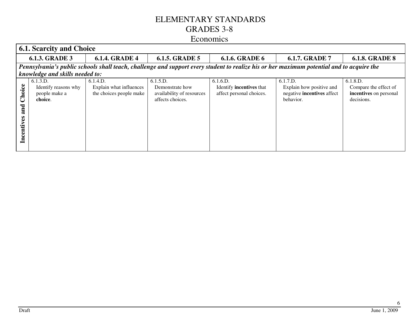|                                | <b>6.1. Scarcity and Choice</b>                                                                                                           |                                                                |                                                                              |                                                                         |                                                                                 |                                                                           |  |  |  |
|--------------------------------|-------------------------------------------------------------------------------------------------------------------------------------------|----------------------------------------------------------------|------------------------------------------------------------------------------|-------------------------------------------------------------------------|---------------------------------------------------------------------------------|---------------------------------------------------------------------------|--|--|--|
|                                | <b>6.1.3. GRADE 3</b>                                                                                                                     | <b>6.1.4. GRADE 4</b>                                          | <b>6.1.5. GRADE 5</b>                                                        | <b>6.1.6. GRADE 6</b>                                                   | <b>6.1.7. GRADE 7</b>                                                           | <b>6.1.8. GRADE 8</b>                                                     |  |  |  |
|                                | Pennsylvania's public schools shall teach, challenge and support every student to realize his or her maximum potential and to acquire the |                                                                |                                                                              |                                                                         |                                                                                 |                                                                           |  |  |  |
|                                | knowledge and skills needed to:                                                                                                           |                                                                |                                                                              |                                                                         |                                                                                 |                                                                           |  |  |  |
| Choice<br>and<br>centives<br>ᆷ | 6.1.3.D.<br>Identify reasons why<br>people make a<br>choice.                                                                              | 6.1.4.D.<br>Explain what influences<br>the choices people make | 6.1.5.D.<br>Demonstrate how<br>availability of resources<br>affects choices. | 6.1.6.D.<br>Identify <b>incentives</b> that<br>affect personal choices. | 6.1.7.D.<br>Explain how positive and<br>negative incentives affect<br>behavior. | 6.1.8.D.<br>Compare the effect of<br>incentives on personal<br>decisions. |  |  |  |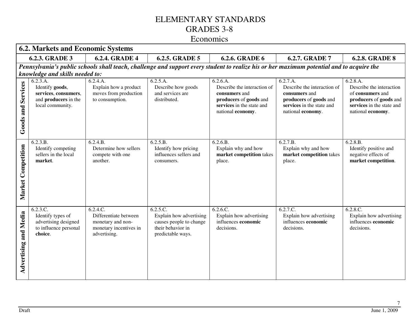#### Economics

|                              | <b>6.2. Markets and Economic Systems</b>                                                                                                           |                                                                                                  |                                                                                                          |                                                                                                                                           |                                                                                                                                      |                                                                                                                                      |  |  |  |
|------------------------------|----------------------------------------------------------------------------------------------------------------------------------------------------|--------------------------------------------------------------------------------------------------|----------------------------------------------------------------------------------------------------------|-------------------------------------------------------------------------------------------------------------------------------------------|--------------------------------------------------------------------------------------------------------------------------------------|--------------------------------------------------------------------------------------------------------------------------------------|--|--|--|
|                              | <b>6.2.3. GRADE 3</b><br><b>6.2.4. GRADE 4</b><br><b>6.2.5. GRADE 5</b><br><b>6.2.6. GRADE 6</b><br><b>6.2.7. GRADE 7</b><br><b>6.2.8. GRADE 8</b> |                                                                                                  |                                                                                                          |                                                                                                                                           |                                                                                                                                      |                                                                                                                                      |  |  |  |
|                              |                                                                                                                                                    |                                                                                                  |                                                                                                          | Pennsylvania's public schools shall teach, challenge and support every student to realize his or her maximum potential and to acquire the |                                                                                                                                      |                                                                                                                                      |  |  |  |
|                              | knowledge and skills needed to:                                                                                                                    |                                                                                                  |                                                                                                          |                                                                                                                                           |                                                                                                                                      |                                                                                                                                      |  |  |  |
| <b>Services</b><br>Goods and | 6.2.3.A.<br>Identify goods,<br>services, consumers,<br>and producers in the<br>local community.                                                    | 6.2.4.A.<br>Explain how a product<br>moves from production<br>to consumption.                    | 6.2.5.A.<br>Describe how goods<br>and services are<br>distributed.                                       | 6.2.6.A.<br>Describe the interaction of<br>consumers and<br>producers of goods and<br>services in the state and<br>national economy.      | 6.2.7.A.<br>Describe the interaction of<br>consumers and<br>producers of goods and<br>services in the state and<br>national economy. | 6.2.8.A.<br>Describe the interaction<br>of consumers and<br>producers of goods and<br>services in the state and<br>national economy. |  |  |  |
| Competition<br>Market        | 6.2.3.B.<br>Identify competing<br>sellers in the local<br>market.                                                                                  | 6.2.4.B.<br>Determine how sellers<br>compete with one<br>another.                                | 6.2.5.B.<br>Identify how pricing<br>influences sellers and<br>consumers.                                 | 6.2.6.B.<br>Explain why and how<br>market competition takes<br>place.                                                                     | 6.2.7.B.<br>Explain why and how<br>market competition takes<br>place.                                                                | 6.2.8.B.<br>Identify positive and<br>negative effects of<br>market competition.                                                      |  |  |  |
| <b>Advertising and Media</b> | 6.2.3.C.<br>Identify types of<br>advertising designed<br>to influence personal<br>choice.                                                          | 6.2.4.C.<br>Differentiate between<br>monetary and non-<br>monetary incentives in<br>advertising. | 6.2.5.C.<br>Explain how advertising<br>causes people to change<br>their behavior in<br>predictable ways. | 6.2.6.C.<br>Explain how advertising<br>influences economic<br>decisions.                                                                  | 6.2.7.C.<br>Explain how advertising<br>influences economic<br>decisions.                                                             | 6.2.8.C.<br>Explain how advertising<br>influences economic<br>decisions.                                                             |  |  |  |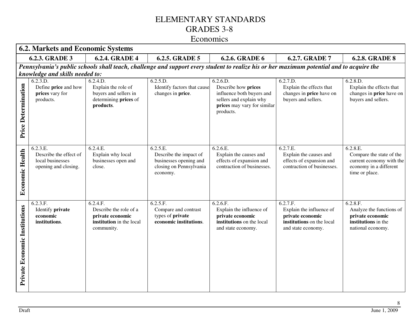#### Economics

|                               | <b>6.2. Markets and Economic Systems</b>                                       |                                                                                                  |                                                                                                     |                                                                                                                                           |                                                                                                             |                                                                                                              |  |  |  |
|-------------------------------|--------------------------------------------------------------------------------|--------------------------------------------------------------------------------------------------|-----------------------------------------------------------------------------------------------------|-------------------------------------------------------------------------------------------------------------------------------------------|-------------------------------------------------------------------------------------------------------------|--------------------------------------------------------------------------------------------------------------|--|--|--|
|                               | <b>6.2.3. GRADE 3</b>                                                          | <b>6.2.4. GRADE 4</b>                                                                            | 6.2.5. GRADE 5                                                                                      | <b>6.2.6. GRADE 6</b>                                                                                                                     | 6.2.7. GRADE 7                                                                                              | <b>6.2.8. GRADE 8</b>                                                                                        |  |  |  |
|                               |                                                                                |                                                                                                  |                                                                                                     | Pennsylvania's public schools shall teach, challenge and support every student to realize his or her maximum potential and to acquire the |                                                                                                             |                                                                                                              |  |  |  |
|                               | knowledge and skills needed to:                                                |                                                                                                  |                                                                                                     |                                                                                                                                           |                                                                                                             |                                                                                                              |  |  |  |
| Price Determination           | 6.2.3.D.<br>Define price and how<br>prices vary for<br>products.               | 6.2.4.D.<br>Explain the role of<br>buyers and sellers in<br>determining prices of<br>products.   | 6.2.5.D.<br>Identify factors that cause<br>changes in price.                                        | 6.2.6.D.<br>Describe how prices<br>influence both buyers and<br>sellers and explain why<br>prices may vary for similar<br>products.       | 6.2.7.D.<br>Explain the effects that<br>changes in <b>price</b> have on<br>buyers and sellers.              | 6.2.8.D.<br>Explain the effects that<br>changes in <b>price</b> have on<br>buyers and sellers.               |  |  |  |
| <b>Economic Health</b>        | 6.2.3.E.<br>Describe the effect of<br>local businesses<br>opening and closing. | 6.2.4.E.<br>Explain why local<br>businesses open and<br>close.                                   | 6.2.5.E.<br>Describe the impact of<br>businesses opening and<br>closing on Pennsylvania<br>economy. | 6.2.6.E.<br>Explain the causes and<br>effects of expansion and<br>contraction of businesses.                                              | 6.2.7.E.<br>Explain the causes and<br>effects of expansion and<br>contraction of businesses.                | 6.2.8.E.<br>Compare the state of the<br>current economy with the<br>economy in a different<br>time or place. |  |  |  |
| Private Economic Institutions | 6.2.3.F.<br>Identify private<br>economic<br>institutions.                      | 6.2.4.F.<br>Describe the role of a<br>private economic<br>institution in the local<br>community. | 6.2.5.F.<br>Compare and contrast<br>types of private<br>economic institutions.                      | 6.2.6.F.<br>Explain the influence of<br>private economic<br>institutions on the local<br>and state economy.                               | 6.2.7.F.<br>Explain the influence of<br>private economic<br>institutions on the local<br>and state economy. | 6.2.8.F.<br>Analyze the functions of<br>private economic<br>institutions in the<br>national economy.         |  |  |  |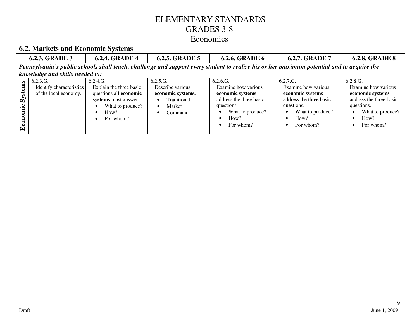#### Economics

|                                | <b>6.2. Markets and Economic Systems</b>                                                                                                  |                                                                                                                                |                                                                                                                 |                                                                                                                                       |                                                                                                                                       |                                                                                                                                       |  |  |  |  |
|--------------------------------|-------------------------------------------------------------------------------------------------------------------------------------------|--------------------------------------------------------------------------------------------------------------------------------|-----------------------------------------------------------------------------------------------------------------|---------------------------------------------------------------------------------------------------------------------------------------|---------------------------------------------------------------------------------------------------------------------------------------|---------------------------------------------------------------------------------------------------------------------------------------|--|--|--|--|
|                                | <b>6.2.3. GRADE 3</b>                                                                                                                     | <b>6.2.4. GRADE 4</b>                                                                                                          | <b>6.2.5. GRADE 5</b>                                                                                           | <b>6.2.6. GRADE 6</b>                                                                                                                 | <b>6.2.7. GRADE 7</b>                                                                                                                 | <b>6.2.8. GRADE 8</b>                                                                                                                 |  |  |  |  |
|                                | Pennsylvania's public schools shall teach, challenge and support every student to realize his or her maximum potential and to acquire the |                                                                                                                                |                                                                                                                 |                                                                                                                                       |                                                                                                                                       |                                                                                                                                       |  |  |  |  |
| Systems<br>ic<br><u>ट</u><br>प | knowledge and skills needed to:<br>6.2.3.G.<br>Identify characteristics<br>of the local economy.                                          | 6.2.4.G.<br>Explain the three basic<br>questions all economic<br>systems must answer.<br>What to produce?<br>How?<br>For whom? | 6.2.5.G.<br>Describe various<br>economic systems.<br>Traditional<br>$\bullet$<br>Market<br>$\bullet$<br>Command | 6.2.6.G.<br>Examine how various<br>economic systems<br>address the three basic<br>questions.<br>What to produce?<br>How?<br>For whom? | 6.2.7.G.<br>Examine how various<br>economic systems<br>address the three basic<br>questions.<br>What to produce?<br>How?<br>For whom? | 6.2.8.G.<br>Examine how various<br>economic systems<br>address the three basic<br>questions.<br>What to produce?<br>How?<br>For whom? |  |  |  |  |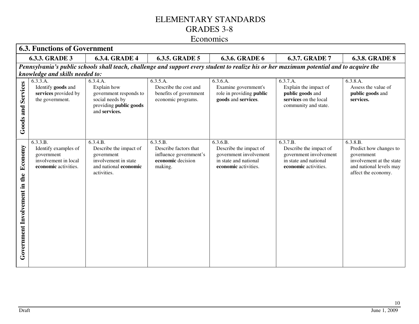|                                          | <b>6.3. Functions of Government</b>                                                                                                                |                                                                                                                  |                                                                                             |                                                                                                               |                                                                                                                                           |                                                                                                                                |  |  |  |  |
|------------------------------------------|----------------------------------------------------------------------------------------------------------------------------------------------------|------------------------------------------------------------------------------------------------------------------|---------------------------------------------------------------------------------------------|---------------------------------------------------------------------------------------------------------------|-------------------------------------------------------------------------------------------------------------------------------------------|--------------------------------------------------------------------------------------------------------------------------------|--|--|--|--|
|                                          | <b>6.3.3. GRADE 3</b><br><b>6.3.5. GRADE 5</b><br><b>6.3.6. GRADE 6</b><br><b>6.3.7. GRADE 7</b><br><b>6.3.4. GRADE 4</b><br><b>6.3.8. GRADE 8</b> |                                                                                                                  |                                                                                             |                                                                                                               |                                                                                                                                           |                                                                                                                                |  |  |  |  |
|                                          |                                                                                                                                                    |                                                                                                                  |                                                                                             |                                                                                                               | Pennsylvania's public schools shall teach, challenge and support every student to realize his or her maximum potential and to acquire the |                                                                                                                                |  |  |  |  |
|                                          | knowledge and skills needed to:                                                                                                                    |                                                                                                                  |                                                                                             |                                                                                                               |                                                                                                                                           |                                                                                                                                |  |  |  |  |
| Services<br>and<br>Goods                 | 6.3.3.A.<br>Identify goods and<br>services provided by<br>the government.                                                                          | 6.3.4.A.<br>Explain how<br>government responds to<br>social needs by<br>providing public goods<br>and services.  | 6.3.5.A.<br>Describe the cost and<br>benefits of government<br>economic programs.           | 6.3.6.A.<br>Examine government's<br>role in providing public<br>goods and services.                           | 6.3.7.A.<br>Explain the impact of<br>public goods and<br>services on the local<br>community and state.                                    | 6.3.8.A.<br>Assess the value of<br>public goods and<br>services.                                                               |  |  |  |  |
| Economy<br>Government Involvement in the | 6.3.3.B.<br>Identify examples of<br>government<br>involvement in local<br>economic activities.                                                     | 6.3.4.B.<br>Describe the impact of<br>government<br>involvement in state<br>and national economic<br>activities. | 6.3.5.B.<br>Describe factors that<br>influence government's<br>economic decision<br>making. | 6.3.6.B.<br>Describe the impact of<br>government involvement<br>in state and national<br>economic activities. | 6.3.7.B.<br>Describe the impact of<br>government involvement<br>in state and national<br>economic activities.                             | 6.3.8.B.<br>Predict how changes to<br>government<br>involvement at the state<br>and national levels may<br>affect the economy. |  |  |  |  |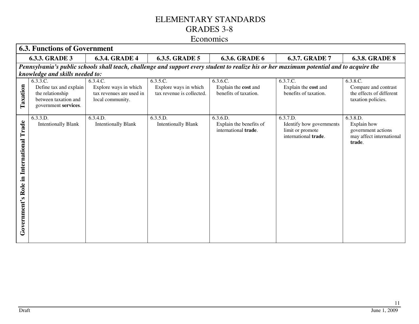|                                             | <b>6.3. Functions of Government</b>                                                                    |                                                                                   |                                                                |                                                             |                                                                                                                                           |                                                                                     |  |  |  |
|---------------------------------------------|--------------------------------------------------------------------------------------------------------|-----------------------------------------------------------------------------------|----------------------------------------------------------------|-------------------------------------------------------------|-------------------------------------------------------------------------------------------------------------------------------------------|-------------------------------------------------------------------------------------|--|--|--|
|                                             | <b>6.3.3. GRADE 3</b>                                                                                  | <b>6.3.4. GRADE 4</b>                                                             | <b>6.3.5. GRADE 5</b>                                          | <b>6.3.6. GRADE 6</b>                                       | <b>6.3.7. GRADE 7</b>                                                                                                                     | <b>6.3.8. GRADE 8</b>                                                               |  |  |  |
|                                             | knowledge and skills needed to:                                                                        |                                                                                   |                                                                |                                                             | Pennsylvania's public schools shall teach, challenge and support every student to realize his or her maximum potential and to acquire the |                                                                                     |  |  |  |
| Taxation                                    | 6.3.3.C.<br>Define tax and explain<br>the relationship<br>between taxation and<br>government services. | 6.3.4.C.<br>Explore ways in which<br>tax revenues are used in<br>local community. | 6.3.5.C.<br>Explore ways in which<br>tax revenue is collected. | 6.3.6.C.<br>Explain the cost and<br>benefits of taxation.   | 6.3.7.C.<br>Explain the cost and<br>benefits of taxation.                                                                                 | 6.3.8.C.<br>Compare and contrast<br>the effects of different<br>taxation policies.  |  |  |  |
| Role in International Trade<br>Government's | 6.3.3.D.<br><b>Intentionally Blank</b>                                                                 | 6.3.4.D.<br><b>Intentionally Blank</b>                                            | 6.3.5.D.<br><b>Intentionally Blank</b>                         | 6.3.6.D.<br>Explain the benefits of<br>international trade. | 6.3.7.D.<br>Identify how governments<br>limit or promote<br>international trade.                                                          | 6.3.8.D.<br>Explain how<br>government actions<br>may affect international<br>trade. |  |  |  |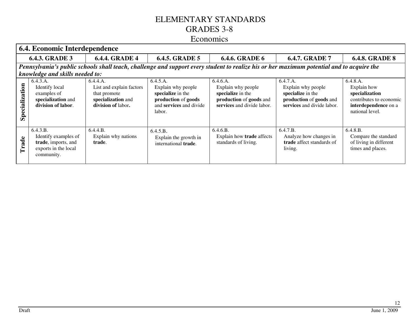#### Economics

|                | 6.4. Economic Interdependence                                                                                                             |                                                                                                  |                                                                                                                 |                                                                                                              |                                                                                                              |                                                                                                                 |  |  |  |  |
|----------------|-------------------------------------------------------------------------------------------------------------------------------------------|--------------------------------------------------------------------------------------------------|-----------------------------------------------------------------------------------------------------------------|--------------------------------------------------------------------------------------------------------------|--------------------------------------------------------------------------------------------------------------|-----------------------------------------------------------------------------------------------------------------|--|--|--|--|
|                | <b>6.4.3. GRADE 3</b>                                                                                                                     | <b>6.4.4. GRADE 4</b>                                                                            | <b>6.4.5. GRADE 5</b>                                                                                           | <b>6.4.6. GRADE 6</b>                                                                                        | <b>6.4.7. GRADE 7</b>                                                                                        | <b>6.4.8. GRADE 8</b>                                                                                           |  |  |  |  |
|                | Pennsylvania's public schools shall teach, challenge and support every student to realize his or her maximum potential and to acquire the |                                                                                                  |                                                                                                                 |                                                                                                              |                                                                                                              |                                                                                                                 |  |  |  |  |
|                | knowledge and skills needed to:                                                                                                           |                                                                                                  |                                                                                                                 |                                                                                                              |                                                                                                              |                                                                                                                 |  |  |  |  |
| Specialization | 6.4.3.A.<br>Identify local<br>examples of<br>specialization and<br>division of labor.                                                     | 6.4.4.A.<br>List and explain factors<br>that promote<br>specialization and<br>division of labor. | 6.4.5.A.<br>Explain why people<br>specialize in the<br>production of goods<br>and services and divide<br>labor. | 6.4.6.A.<br>Explain why people<br>specialize in the<br>production of goods and<br>services and divide labor. | 6.4.7.A.<br>Explain why people<br>specialize in the<br>production of goods and<br>services and divide labor. | 6.4.8.A.<br>Explain how<br>specialization<br>contributes to economic<br>interdependence on a<br>national level. |  |  |  |  |
| Trade          | 6.4.3.B.<br>Identify examples of<br>trade, imports, and<br>exports in the local<br>community.                                             | 6.4.4.B.<br>Explain why nations<br>trade.                                                        | 6.4.5.B.<br>Explain the growth in<br>international trade.                                                       | 6.4.6.B.<br>Explain how trade affects<br>standards of living.                                                | 6.4.7.B.<br>Analyze how changes in<br>trade affect standards of<br>living.                                   | 6.4.8.B.<br>Compare the standard<br>of living in different<br>times and places.                                 |  |  |  |  |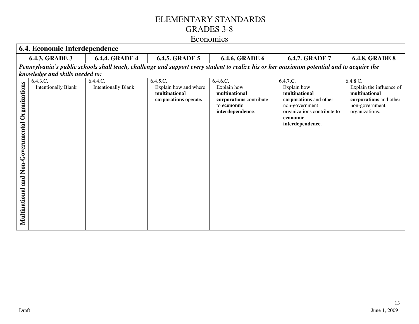|                                                           | 6.4. Economic Interdependence          |                                        |                                                                             |                                                                                                        |                                                                                                                                                     |                                                                                                                     |  |  |
|-----------------------------------------------------------|----------------------------------------|----------------------------------------|-----------------------------------------------------------------------------|--------------------------------------------------------------------------------------------------------|-----------------------------------------------------------------------------------------------------------------------------------------------------|---------------------------------------------------------------------------------------------------------------------|--|--|
|                                                           | <b>6.4.3. GRADE 3</b>                  | <b>6.4.4. GRADE 4</b>                  | <b>6.4.5. GRADE 5</b>                                                       | <b>6.4.6. GRADE 6</b>                                                                                  | 6.4.7. GRADE 7                                                                                                                                      | <b>6.4.8. GRADE 8</b>                                                                                               |  |  |
|                                                           | knowledge and skills needed to:        |                                        |                                                                             |                                                                                                        | Pennsylvania's public schools shall teach, challenge and support every student to realize his or her maximum potential and to acquire the           |                                                                                                                     |  |  |
| Organizations<br>Non-Governmental<br>and<br>Multinational | 6.4.3.C.<br><b>Intentionally Blank</b> | 6.4.4.C.<br><b>Intentionally Blank</b> | 6.4.5.C.<br>Explain how and where<br>multinational<br>corporations operate. | 6.4.6.C.<br>Explain how<br>multinational<br>corporations contribute<br>to economic<br>interdependence. | 6.4.7.C.<br>Explain how<br>multinational<br>corporations and other<br>non-government<br>organizations contribute to<br>economic<br>interdependence. | 6.4.8.C.<br>Explain the influence of<br>multinational<br>corporations and other<br>non-government<br>organizations. |  |  |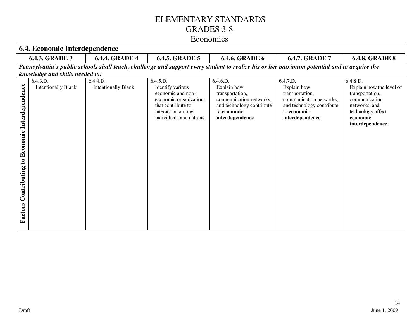|                                                                  | 6.4. Economic Interdependence                                             |                                        |                                                                                                                                                    |                                                                                                                                                                                                                                                                                    |                                                                                                                                       |                                                                                                                                                |  |  |
|------------------------------------------------------------------|---------------------------------------------------------------------------|----------------------------------------|----------------------------------------------------------------------------------------------------------------------------------------------------|------------------------------------------------------------------------------------------------------------------------------------------------------------------------------------------------------------------------------------------------------------------------------------|---------------------------------------------------------------------------------------------------------------------------------------|------------------------------------------------------------------------------------------------------------------------------------------------|--|--|
|                                                                  | <b>6.4.3. GRADE 3</b>                                                     | <b>6.4.4. GRADE 4</b>                  | <b>6.4.5. GRADE 5</b>                                                                                                                              | <b>6.4.6. GRADE 6</b>                                                                                                                                                                                                                                                              | 6.4.7. GRADE 7                                                                                                                        | <b>6.4.8. GRADE 8</b>                                                                                                                          |  |  |
| Interdependence                                                  | knowledge and skills needed to:<br>6.4.3.D.<br><b>Intentionally Blank</b> | 6.4.4.D.<br><b>Intentionally Blank</b> | 6.4.5.D.<br>Identify various<br>economic and non-<br>economic organizations<br>that contribute to<br>interaction among<br>individuals and nations. | Pennsylvania's public schools shall teach, challenge and support every student to realize his or her maximum potential and to acquire the<br>6.4.6.D.<br>Explain how<br>transportation,<br>communication networks,<br>and technology contribute<br>to economic<br>interdependence. | 6.4.7.D.<br>Explain how<br>transportation,<br>communication networks,<br>and technology contribute<br>to economic<br>interdependence. | 6.4.8.D.<br>Explain how the level of<br>transportation,<br>communication<br>networks, and<br>technology affect<br>economic<br>interdependence. |  |  |
| Economic<br>$\boldsymbol{\mathbf{c}}$<br>Contributing<br>Factors |                                                                           |                                        |                                                                                                                                                    |                                                                                                                                                                                                                                                                                    |                                                                                                                                       |                                                                                                                                                |  |  |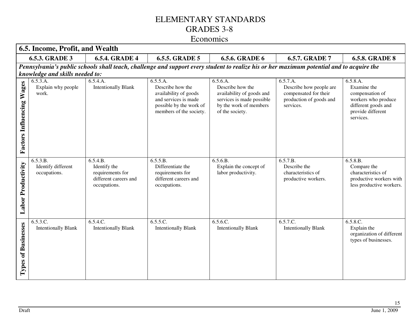#### Economics

| 6.5. Income, Profit, and Wealth                |                                                                                                                                           |                                                                                       |                                                                                                                                     |                                                                                                                                     |                                                                                                      |                                                                                                                            |
|------------------------------------------------|-------------------------------------------------------------------------------------------------------------------------------------------|---------------------------------------------------------------------------------------|-------------------------------------------------------------------------------------------------------------------------------------|-------------------------------------------------------------------------------------------------------------------------------------|------------------------------------------------------------------------------------------------------|----------------------------------------------------------------------------------------------------------------------------|
| <b>6.5.3. GRADE 3</b><br><b>6.5.4. GRADE 4</b> |                                                                                                                                           | <b>6.5.5. GRADE 5</b>                                                                 | <b>6.5.6. GRADE 6</b>                                                                                                               | <b>6.5.7. GRADE 7</b>                                                                                                               | <b>6.5.8. GRADE 8</b>                                                                                |                                                                                                                            |
|                                                | Pennsylvania's public schools shall teach, challenge and support every student to realize his or her maximum potential and to acquire the |                                                                                       |                                                                                                                                     |                                                                                                                                     |                                                                                                      |                                                                                                                            |
|                                                | knowledge and skills needed to:                                                                                                           |                                                                                       |                                                                                                                                     |                                                                                                                                     |                                                                                                      |                                                                                                                            |
| <b>Factors Influencing Wages</b>               | 6.5.3.A.<br>Explain why people<br>work.                                                                                                   | 6.5.4.A.<br><b>Intentionally Blank</b>                                                | 6.5.5.A.<br>Describe how the<br>availability of goods<br>and services is made<br>possible by the work of<br>members of the society. | 6.5.6.A.<br>Describe how the<br>availability of goods and<br>services is made possible<br>by the work of members<br>of the society. | 6.5.7.A.<br>Describe how people are<br>compensated for their<br>production of goods and<br>services. | 6.5.8.A.<br>Examine the<br>compensation of<br>workers who produce<br>different goods and<br>provide different<br>services. |
| <b>Labor Productivity</b>                      | 6.5.3.B.<br>Identify different<br>occupations.                                                                                            | 6.5.4.B.<br>Identify the<br>requirements for<br>different careers and<br>occupations. | 6.5.5.B.<br>Differentiate the<br>requirements for<br>different careers and<br>occupations.                                          | 6.5.6.B.<br>Explain the concept of<br>labor productivity.                                                                           | 6.5.7.B.<br>Describe the<br>characteristics of<br>productive workers.                                | 6.5.8.B.<br>Compare the<br>characteristics of<br>productive workers with<br>less productive workers.                       |
| <b>Types of Businesses</b>                     | 6.5.3.C.<br><b>Intentionally Blank</b>                                                                                                    | 6.5.4.C.<br><b>Intentionally Blank</b>                                                | 6.5.5.C.<br><b>Intentionally Blank</b>                                                                                              | 6.5.6.C.<br><b>Intentionally Blank</b>                                                                                              | $6.\overline{5.7}.\overline{C}$ .<br><b>Intentionally Blank</b>                                      | 6.5.8.C.<br>Explain the<br>organization of different<br>types of businesses.                                               |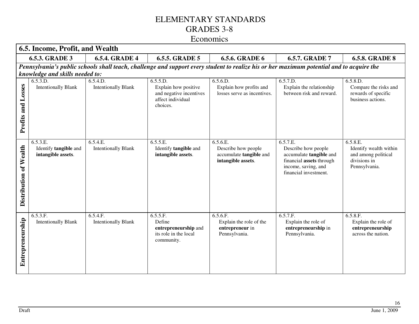| 6.5. Income, Profit, and Wealth |                                                                                                                                           |                                        |                                                                                   |                                                                                  |                                                                                                                                        |                                                                                            |
|---------------------------------|-------------------------------------------------------------------------------------------------------------------------------------------|----------------------------------------|-----------------------------------------------------------------------------------|----------------------------------------------------------------------------------|----------------------------------------------------------------------------------------------------------------------------------------|--------------------------------------------------------------------------------------------|
| <b>6.5.3. GRADE 3</b>           |                                                                                                                                           | <b>6.5.4. GRADE 4</b>                  | <b>6.5.5. GRADE 5</b>                                                             | <b>6.5.6. GRADE 6</b>                                                            | <b>6.5.7. GRADE 7</b>                                                                                                                  | <b>6.5.8. GRADE 8</b>                                                                      |
|                                 | Pennsylvania's public schools shall teach, challenge and support every student to realize his or her maximum potential and to acquire the |                                        |                                                                                   |                                                                                  |                                                                                                                                        |                                                                                            |
|                                 | knowledge and skills needed to:                                                                                                           |                                        |                                                                                   |                                                                                  |                                                                                                                                        |                                                                                            |
|                                 | 6.5.3.D.                                                                                                                                  | 6.5.4.D.                               | 6.5.5.D.                                                                          | 6.5.6.D.                                                                         | 6.5.7.D.                                                                                                                               | 6.5.8.D.                                                                                   |
| Losses<br>Profits and           | <b>Intentionally Blank</b>                                                                                                                | <b>Intentionally Blank</b>             | Explain how positive<br>and negative incentives<br>affect individual<br>choices.  | Explain how profits and<br>losses serve as incentives.                           | Explain the relationship<br>between risk and reward.                                                                                   | Compare the risks and<br>rewards of specific<br>business actions.                          |
|                                 |                                                                                                                                           |                                        |                                                                                   |                                                                                  |                                                                                                                                        |                                                                                            |
| Distribution of Wealth          | 6.5.3.E.<br>Identify tangible and<br>intangible assets.                                                                                   | 6.5.4.E.<br><b>Intentionally Blank</b> | 6.5.5.E.<br>Identify tangible and<br>intangible assets.                           | 6.5.6.E.<br>Describe how people<br>accumulate tangible and<br>intangible assets. | 6.5.7.E.<br>Describe how people<br>accumulate tangible and<br>financial assets through<br>income, saving, and<br>financial investment. | 6.5.8.E.<br>Identify wealth within<br>and among political<br>divisions in<br>Pennsylvania. |
| Entrepreneurship                | 6.5.3.F.<br><b>Intentionally Blank</b>                                                                                                    | 6.5.4.F.<br><b>Intentionally Blank</b> | 6.5.5.F.<br>Define<br>entrepreneurship and<br>its role in the local<br>community. | 6.5.6.F.<br>Explain the role of the<br>entrepreneur in<br>Pennsylvania.          | 6.5.7.F.<br>Explain the role of<br>entrepreneurship in<br>Pennsylvania.                                                                | 6.5.8.F.<br>Explain the role of<br>entrepreneurship<br>across the nation.                  |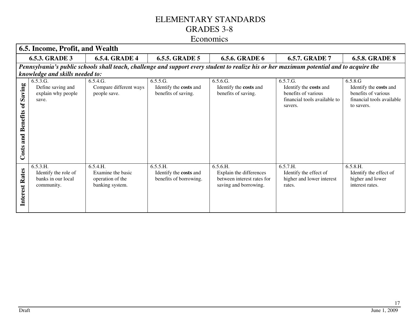| 6.5. Income, Profit, and Wealth                 |                                                                                                                                           |                                                                      |                                                              |                                                                                            |                                                                                                      |                                                                                                     |
|-------------------------------------------------|-------------------------------------------------------------------------------------------------------------------------------------------|----------------------------------------------------------------------|--------------------------------------------------------------|--------------------------------------------------------------------------------------------|------------------------------------------------------------------------------------------------------|-----------------------------------------------------------------------------------------------------|
| <b>6.5.3. GRADE 3</b><br><b>6.5.4. GRADE 4</b>  |                                                                                                                                           |                                                                      | <b>6.5.5. GRADE 5</b>                                        | <b>6.5.6. GRADE 6</b>                                                                      | <b>6.5.7. GRADE 7</b>                                                                                | <b>6.5.8. GRADE 8</b>                                                                               |
|                                                 | Pennsylvania's public schools shall teach, challenge and support every student to realize his or her maximum potential and to acquire the |                                                                      |                                                              |                                                                                            |                                                                                                      |                                                                                                     |
|                                                 | knowledge and skills needed to:                                                                                                           |                                                                      |                                                              |                                                                                            |                                                                                                      |                                                                                                     |
| Saving<br>of<br><b>Benefits</b><br>and<br>Costs | 6.5.3.G.<br>Define saving and<br>explain why people<br>save.                                                                              | 6.5.4.G.<br>Compare different ways<br>people save.                   | 6.5.5.G.<br>Identify the costs and<br>benefits of saving.    | 6.5.6.G.<br>Identify the costs and<br>benefits of saving.                                  | 6.5.7.G.<br>Identify the costs and<br>benefits of various<br>financial tools available to<br>savers. | 6.5.8.G<br>Identify the costs and<br>benefits of various<br>financial tools available<br>to savers. |
| Rates<br>Interest                               | 6.5.3.H.<br>Identify the role of<br>banks in our local<br>community.                                                                      | 6.5.4.H.<br>Examine the basic<br>operation of the<br>banking system. | 6.5.5.H.<br>Identify the costs and<br>benefits of borrowing. | 6.5.6.H.<br>Explain the differences<br>between interest rates for<br>saving and borrowing. | 6.5.7.H.<br>Identify the effect of<br>higher and lower interest<br>rates.                            | 6.5.8.H.<br>Identify the effect of<br>higher and lower<br>interest rates.                           |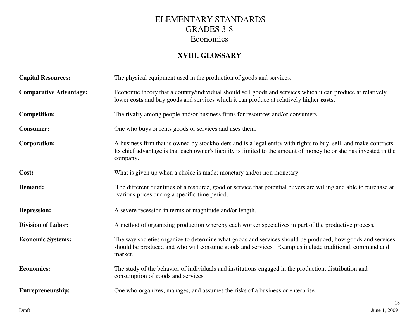#### **XVIII. GLOSSARY**

| <b>Capital Resources:</b>     | The physical equipment used in the production of goods and services.                                                                                                                                                                                |
|-------------------------------|-----------------------------------------------------------------------------------------------------------------------------------------------------------------------------------------------------------------------------------------------------|
| <b>Comparative Advantage:</b> | Economic theory that a country/individual should sell goods and services which it can produce at relatively<br>lower costs and buy goods and services which it can produce at relatively higher costs.                                              |
| <b>Competition:</b>           | The rivalry among people and/or business firms for resources and/or consumers.                                                                                                                                                                      |
| <b>Consumer:</b>              | One who buys or rents goods or services and uses them.                                                                                                                                                                                              |
| <b>Corporation:</b>           | A business firm that is owned by stockholders and is a legal entity with rights to buy, sell, and make contracts.<br>Its chief advantage is that each owner's liability is limited to the amount of money he or she has invested in the<br>company. |
| Cost:                         | What is given up when a choice is made; monetary and/or non monetary.                                                                                                                                                                               |
| Demand:                       | The different quantities of a resource, good or service that potential buyers are willing and able to purchase at<br>various prices during a specific time period.                                                                                  |
| Depression:                   | A severe recession in terms of magnitude and/or length.                                                                                                                                                                                             |
| <b>Division of Labor:</b>     | A method of organizing production whereby each worker specializes in part of the productive process.                                                                                                                                                |
| <b>Economic Systems:</b>      | The way societies organize to determine what goods and services should be produced, how goods and services<br>should be produced and who will consume goods and services. Examples include traditional, command and<br>market.                      |
| <b>Economics:</b>             | The study of the behavior of individuals and institutions engaged in the production, distribution and<br>consumption of goods and services.                                                                                                         |
| Entrepreneurship:             | One who organizes, manages, and assumes the risks of a business or enterprise.                                                                                                                                                                      |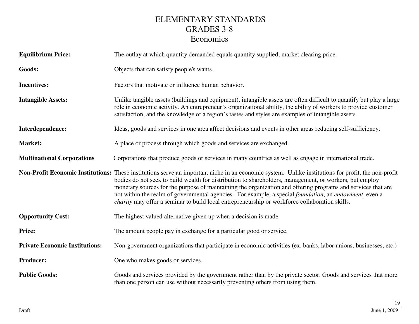| <b>Equilibrium Price:</b>             | The outlay at which quantity demanded equals quantity supplied; market clearing price.                                                                                                                                                                                                                                                                                                                                                                                                                                                                                                                            |
|---------------------------------------|-------------------------------------------------------------------------------------------------------------------------------------------------------------------------------------------------------------------------------------------------------------------------------------------------------------------------------------------------------------------------------------------------------------------------------------------------------------------------------------------------------------------------------------------------------------------------------------------------------------------|
| Goods:                                | Objects that can satisfy people's wants.                                                                                                                                                                                                                                                                                                                                                                                                                                                                                                                                                                          |
| <b>Incentives:</b>                    | Factors that motivate or influence human behavior.                                                                                                                                                                                                                                                                                                                                                                                                                                                                                                                                                                |
| <b>Intangible Assets:</b>             | Unlike tangible assets (buildings and equipment), intangible assets are often difficult to quantify but play a large<br>role in economic activity. An entrepreneur's organizational ability, the ability of workers to provide customer<br>satisfaction, and the knowledge of a region's tastes and styles are examples of intangible assets.                                                                                                                                                                                                                                                                     |
| Interdependence:                      | Ideas, goods and services in one area affect decisions and events in other areas reducing self-sufficiency.                                                                                                                                                                                                                                                                                                                                                                                                                                                                                                       |
| Market:                               | A place or process through which goods and services are exchanged.                                                                                                                                                                                                                                                                                                                                                                                                                                                                                                                                                |
| <b>Multinational Corporations</b>     | Corporations that produce goods or services in many countries as well as engage in international trade.                                                                                                                                                                                                                                                                                                                                                                                                                                                                                                           |
|                                       | Non-Profit Economic Institutions: These institutions serve an important niche in an economic system. Unlike institutions for profit, the non-profit<br>bodies do not seek to build wealth for distribution to shareholders, management, or workers, but employ<br>monetary sources for the purpose of maintaining the organization and offering programs and services that are<br>not within the realm of governmental agencies. For example, a special <i>foundation</i> , an <i>endowment</i> , even a<br><i>charity</i> may offer a seminar to build local entrepreneurship or workforce collaboration skills. |
| <b>Opportunity Cost:</b>              | The highest valued alternative given up when a decision is made.                                                                                                                                                                                                                                                                                                                                                                                                                                                                                                                                                  |
| Price:                                | The amount people pay in exchange for a particular good or service.                                                                                                                                                                                                                                                                                                                                                                                                                                                                                                                                               |
| <b>Private Economic Institutions:</b> | Non-government organizations that participate in economic activities (ex. banks, labor unions, businesses, etc.)                                                                                                                                                                                                                                                                                                                                                                                                                                                                                                  |
| <b>Producer:</b>                      | One who makes goods or services.                                                                                                                                                                                                                                                                                                                                                                                                                                                                                                                                                                                  |
| <b>Public Goods:</b>                  | Goods and services provided by the government rather than by the private sector. Goods and services that more<br>than one person can use without necessarily preventing others from using them.                                                                                                                                                                                                                                                                                                                                                                                                                   |